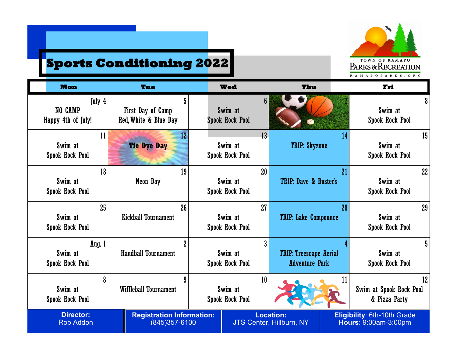

## **Sports Conditioning 2022**

| <b>Mon</b>                                  | Tue                                                | <b>Wed</b>                                          | Thu                                                    | Fri                                                 |
|---------------------------------------------|----------------------------------------------------|-----------------------------------------------------|--------------------------------------------------------|-----------------------------------------------------|
| July 4<br>NO CAMP<br>Happy 4th of July!     | 5<br>First Day of Camp<br>Red, White & Blue Day    | $6\phantom{a}$<br>Swim at<br><b>Spook Rock Pool</b> |                                                        | 8<br>Swim at<br>Spook Rock Pool                     |
| 11<br>Swim at<br><b>Spook Rock Pool</b>     | 12<br><b>Tie Dye Day</b>                           | 13<br>Swim at<br>Spook Rock Pool                    | 14<br><b>TRIP: Skyzone</b>                             | 15<br>Swim at<br>Spook Rock Pool                    |
| 18<br>Swim at<br><b>Spook Rock Pool</b>     | 19<br>Neon Day                                     | 20<br>Swim at<br>Spook Rock Pool                    | 21<br><b>TRIP: Dave &amp; Buster's</b>                 | 22<br>Swim at<br>Spook Rock Pool                    |
| 25<br>Swim at<br><b>Spook Rock Pool</b>     | 26<br><b>Kickball Tournament</b>                   | 27<br>Swim at<br>Spook Rock Pool                    | 28<br><b>TRIP: Lake Compounce</b>                      | 29<br>Swim at<br>Spook Rock Pool                    |
| Aug. 1<br>Swim at<br><b>Spook Rock Pool</b> | $\overline{2}$<br><b>Handball Tournament</b>       | 3<br>Swim at<br>Spook Rock Pool                     | <b>TRIP: Treescape Aerial</b><br><b>Adventure Park</b> | 5<br>Swim at<br>Spook Rock Pool                     |
| 8<br>Swim at<br><b>Spook Rock Pool</b>      | 9<br>Wiffleball Tournament                         | 10<br>Swim at<br>Spook Rock Pool                    | 11                                                     | 12<br>Swim at Spook Rock Pool<br>& Pizza Party      |
| <b>Director:</b><br><b>Rob Addon</b>        | <b>Registration Information:</b><br>(845) 357-6100 |                                                     | <b>Location:</b><br><b>JTS Center, Hillburn, NY</b>    | Eligibility: 6th-10th Grade<br>Hours: 9:00am-3:00pm |